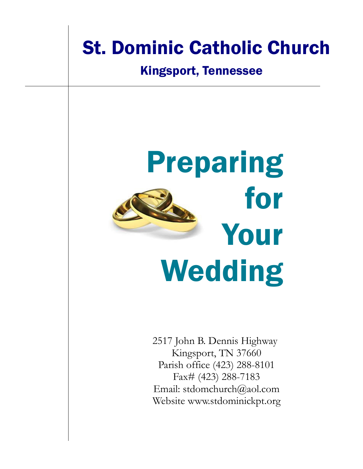# St. Dominic Catholic Church

#### Kingsport, Tennessee



2517 John B. Dennis Highway Kingsport, TN 37660 Parish office (423) 288-8101 Fax# (423) 288-7183 Email: stdomchurch@aol.com Website www.stdominickpt.org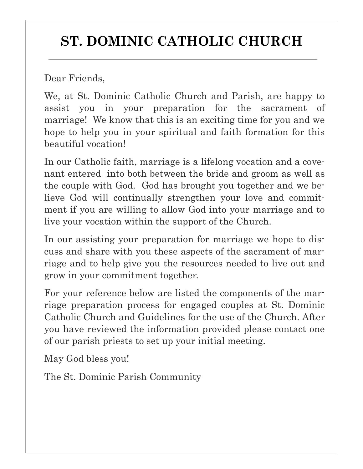## **ST. DOMINIC CATHOLIC CHURCH**

Dear Friends,

We, at St. Dominic Catholic Church and Parish, are happy to assist you in your preparation for the sacrament of marriage! We know that this is an exciting time for you and we hope to help you in your spiritual and faith formation for this beautiful vocation!

In our Catholic faith, marriage is a lifelong vocation and a covenant entered into both between the bride and groom as well as the couple with God. God has brought you together and we believe God will continually strengthen your love and commitment if you are willing to allow God into your marriage and to live your vocation within the support of the Church.

In our assisting your preparation for marriage we hope to discuss and share with you these aspects of the sacrament of marriage and to help give you the resources needed to live out and grow in your commitment together.

For your reference below are listed the components of the marriage preparation process for engaged couples at St. Dominic Catholic Church and Guidelines for the use of the Church. After you have reviewed the information provided please contact one of our parish priests to set up your initial meeting.

May God bless you!

The St. Dominic Parish Community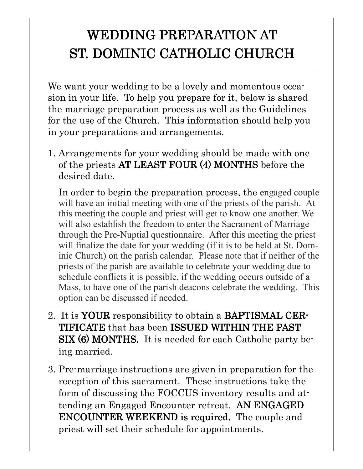### WEDDING PREPARATION AT ST. DOMINIC CATHOLIC CHURCH

We want your wedding to be a lovely and momentous occasion in your life. To help you prepare for it, below is shared the marriage preparation process as well as the Guidelines for the use of the Church. This information should help you in your preparations and arrangements.

1. Arrangements for your wedding should be made with one of the priests AT LEAST FOUR (4) MONTHS before the desired date.

In order to begin the preparation process, the engaged couple will have an initial meeting with one of the priests of the parish. At this meeting the couple and priest will get to know one another. We will also establish the freedom to enter the Sacrament of Marriage through the Pre-Nuptial questionnaire. After this meeting the priest will finalize the date for your wedding (if it is to be held at St. Dominic Church) on the parish calendar. Please note that if neither of the priests of the parish are available to celebrate your wedding due to schedule conflicts it is possible, if the wedding occurs outside of a Mass, to have one of the parish deacons celebrate the wedding. This option can be discussed if needed.

- 2. It is YOUR responsibility to obtain a BAPTISMAL CER-TIFICATE that has been ISSUED WITHIN THE PAST SIX (6) MONTHS. It is needed for each Catholic party being married.
- 3. Pre-marriage instructions are given in preparation for the reception of this sacrament. These instructions take the form of discussing the FOCCUS inventory results and attending an Engaged Encounter retreat. AN ENGAGED ENCOUNTER WEEKEND is required. The couple and priest will set their schedule for appointments.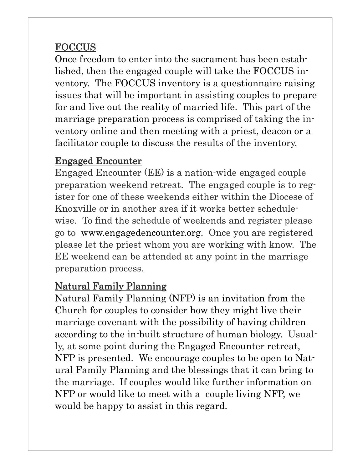#### **FOCCUS**

Once freedom to enter into the sacrament has been established, then the engaged couple will take the FOCCUS inventory. The FOCCUS inventory is a questionnaire raising issues that will be important in assisting couples to prepare for and live out the reality of married life. This part of the marriage preparation process is comprised of taking the inventory online and then meeting with a priest, deacon or a facilitator couple to discuss the results of the inventory.

#### Engaged Encounter

Engaged Encounter (EE) is a nation-wide engaged couple preparation weekend retreat. The engaged couple is to register for one of these weekends either within the Diocese of Knoxville or in another area if it works better schedulewise. To find the schedule of weekends and register please go to www.engagedencounter.org. Once you are registered please let the priest whom you are working with know. The EE weekend can be attended at any point in the marriage preparation process.

#### Natural Family Planning

Natural Family Planning (NFP) is an invitation from the Church for couples to consider how they might live their marriage covenant with the possibility of having children according to the in-built structure of human biology. Usually, at some point during the Engaged Encounter retreat, NFP is presented. We encourage couples to be open to Natural Family Planning and the blessings that it can bring to the marriage. If couples would like further information on NFP or would like to meet with a couple living NFP, we would be happy to assist in this regard.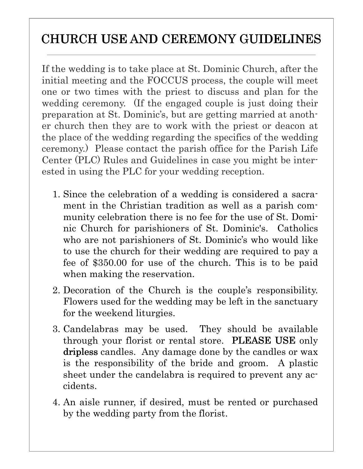### CHURCH USE AND CEREMONY GUIDELINES

If the wedding is to take place at St. Dominic Church, after the initial meeting and the FOCCUS process, the couple will meet one or two times with the priest to discuss and plan for the wedding ceremony. (If the engaged couple is just doing their preparation at St. Dominic's, but are getting married at another church then they are to work with the priest or deacon at the place of the wedding regarding the specifics of the wedding ceremony.) Please contact the parish office for the Parish Life Center (PLC) Rules and Guidelines in case you might be interested in using the PLC for your wedding reception.

- 1. Since the celebration of a wedding is considered a sacrament in the Christian tradition as well as a parish community celebration there is no fee for the use of St. Dominic Church for parishioners of St. Dominic's. Catholics who are not parishioners of St. Dominic's who would like to use the church for their wedding are required to pay a fee of \$350.00 for use of the church. This is to be paid when making the reservation.
- 2. Decoration of the Church is the couple's responsibility. Flowers used for the wedding may be left in the sanctuary for the weekend liturgies.
- 3. Candelabras may be used. They should be available through your florist or rental store. PLEASE USE only dripless candles. Any damage done by the candles or wax is the responsibility of the bride and groom. A plastic sheet under the candelabra is required to prevent any accidents.
- 4. An aisle runner, if desired, must be rented or purchased by the wedding party from the florist.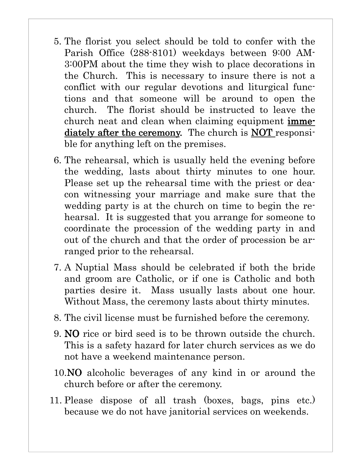- 5. The florist you select should be told to confer with the Parish Office (288-8101) weekdays between 9:00 AM-3:00PM about the time they wish to place decorations in the Church. This is necessary to insure there is not a conflict with our regular devotions and liturgical functions and that someone will be around to open the church. The florist should be instructed to leave the church neat and clean when claiming equipment immediately after the ceremony. The church is NOT responsible for anything left on the premises.
- 6. The rehearsal, which is usually held the evening before the wedding, lasts about thirty minutes to one hour. Please set up the rehearsal time with the priest or deacon witnessing your marriage and make sure that the wedding party is at the church on time to begin the rehearsal. It is suggested that you arrange for someone to coordinate the procession of the wedding party in and out of the church and that the order of procession be arranged prior to the rehearsal.
- 7. A Nuptial Mass should be celebrated if both the bride and groom are Catholic, or if one is Catholic and both parties desire it. Mass usually lasts about one hour. Without Mass, the ceremony lasts about thirty minutes.
- 8. The civil license must be furnished before the ceremony.
- 9. NO rice or bird seed is to be thrown outside the church. This is a safety hazard for later church services as we do not have a weekend maintenance person.
- 10.NO alcoholic beverages of any kind in or around the church before or after the ceremony.
- 11. Please dispose of all trash (boxes, bags, pins etc.) because we do not have janitorial services on weekends.